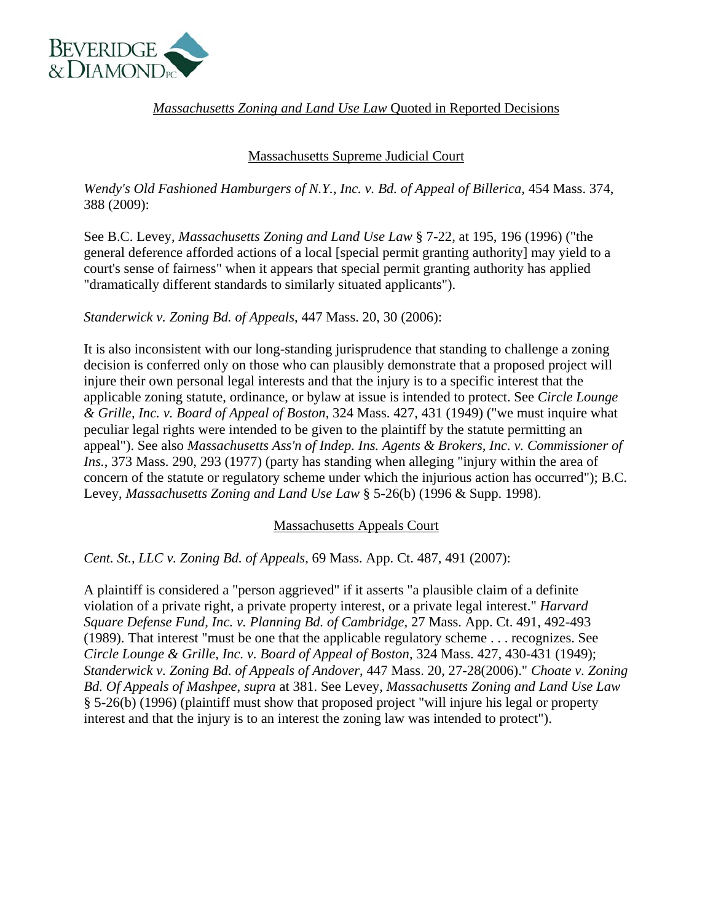

*Massachusetts Zoning and Land Use Law* Quoted in Reported Decisions

## Massachusetts Supreme Judicial Court

*Wendy's Old Fashioned Hamburgers of N.Y., Inc. v. Bd. of Appeal of Billerica*, 454 Mass. 374, 388 (2009):

See B.C. Levey, *Massachusetts Zoning and Land Use Law* § 7-22, at 195, 196 (1996) ("the general deference afforded actions of a local [special permit granting authority] may yield to a court's sense of fairness" when it appears that special permit granting authority has applied "dramatically different standards to similarly situated applicants").

*Standerwick v. Zoning Bd. of Appeals*, 447 Mass. 20, 30 (2006):

It is also inconsistent with our long-standing jurisprudence that standing to challenge a zoning decision is conferred only on those who can plausibly demonstrate that a proposed project will injure their own personal legal interests and that the injury is to a specific interest that the applicable zoning statute, ordinance, or bylaw at issue is intended to protect. See *Circle Lounge & Grille, Inc. v. Board of Appeal of Boston*, 324 Mass. 427, 431 (1949) ("we must inquire what peculiar legal rights were intended to be given to the plaintiff by the statute permitting an appeal"). See also *Massachusetts Ass'n of Indep. Ins. Agents & Brokers, Inc. v. Commissioner of Ins.*, 373 Mass. 290, 293 (1977) (party has standing when alleging "injury within the area of concern of the statute or regulatory scheme under which the injurious action has occurred"); B.C. Levey, *Massachusetts Zoning and Land Use Law* § 5-26(b) (1996 & Supp. 1998).

## Massachusetts Appeals Court

*Cent. St., LLC v. Zoning Bd. of Appeals*, 69 Mass. App. Ct. 487, 491 (2007):

A plaintiff is considered a "person aggrieved" if it asserts "a plausible claim of a definite violation of a private right, a private property interest, or a private legal interest." *Harvard Square Defense Fund, Inc. v. Planning Bd. of Cambridge*, 27 Mass. App. Ct. 491, 492-493 (1989). That interest "must be one that the applicable regulatory scheme . . . recognizes. See *Circle Lounge & Grille, Inc. v. Board of Appeal of Boston*, 324 Mass. 427, 430-431 (1949); *Standerwick v. Zoning Bd. of Appeals of Andover*, 447 Mass. 20, 27-28(2006)." *Choate v. Zoning Bd. Of Appeals of Mashpee*, *supra* at 381. See Levey, *Massachusetts Zoning and Land Use Law* § 5-26(b) (1996) (plaintiff must show that proposed project "will injure his legal or property interest and that the injury is to an interest the zoning law was intended to protect").